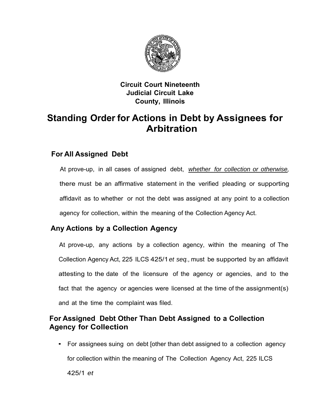

#### **Circuit Court Nineteenth Judicial Circuit Lake County, Illinois**

# **Standing Order for Actions in Debt by Assignees for Arbitration**

## **For All Assigned Debt**

At prove-up, in all cases of assigned debt, *whether for collection or otherwise,*  there must be an affirmative statement in the verified pleading or supporting affidavit as to whether or not the debt was assigned at any point to a collection agency for collection, within the meaning of the Collection Agency Act.

## **Any Actions by a Collection Agency**

At prove-up, any actions by a collection agency, within the meaning of The Collection Agency Act, 225 ILCS 425/1*et seq.,* must be supported by an affidavit attesting to the date of the licensure of the agency or agencies, and to the fact that the agency or agencies were licensed at the time of the assignment(s) and at the time the complaint was filed.

#### **For Assigned Debt Other Than Debt Assigned to a Collection Agency for Collection**

• For assignees suing on debt [other than debt assigned to a collection agency for collection within the meaning of The Collection Agency Act, 225 ILCS 425/1 *et*